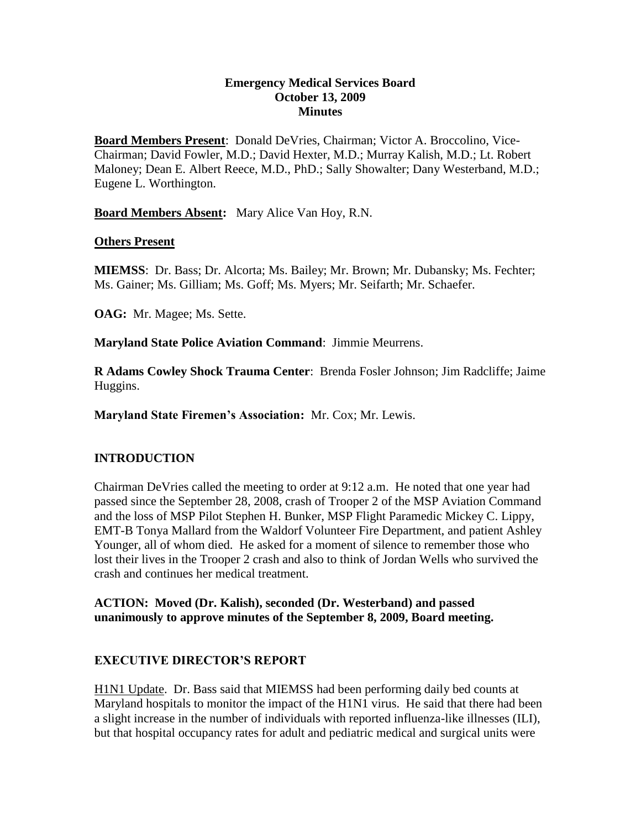#### **Emergency Medical Services Board October 13, 2009 Minutes**

**Board Members Present**: Donald DeVries, Chairman; Victor A. Broccolino, Vice-Chairman; David Fowler, M.D.; David Hexter, M.D.; Murray Kalish, M.D.; Lt. Robert Maloney; Dean E. Albert Reece, M.D., PhD.; Sally Showalter; Dany Westerband, M.D.; Eugene L. Worthington.

**Board Members Absent:** Mary Alice Van Hoy, R.N.

### **Others Present**

**MIEMSS**: Dr. Bass; Dr. Alcorta; Ms. Bailey; Mr. Brown; Mr. Dubansky; Ms. Fechter; Ms. Gainer; Ms. Gilliam; Ms. Goff; Ms. Myers; Mr. Seifarth; Mr. Schaefer.

**OAG:** Mr. Magee; Ms. Sette.

**Maryland State Police Aviation Command**: Jimmie Meurrens.

**R Adams Cowley Shock Trauma Center**: Brenda Fosler Johnson; Jim Radcliffe; Jaime Huggins.

**Maryland State Firemen's Association:** Mr. Cox; Mr. Lewis.

## **INTRODUCTION**

Chairman DeVries called the meeting to order at 9:12 a.m. He noted that one year had passed since the September 28, 2008, crash of Trooper 2 of the MSP Aviation Command and the loss of MSP Pilot Stephen H. Bunker, MSP Flight Paramedic Mickey C. Lippy, EMT-B Tonya Mallard from the Waldorf Volunteer Fire Department, and patient Ashley Younger, all of whom died. He asked for a moment of silence to remember those who lost their lives in the Trooper 2 crash and also to think of Jordan Wells who survived the crash and continues her medical treatment.

**ACTION: Moved (Dr. Kalish), seconded (Dr. Westerband) and passed unanimously to approve minutes of the September 8, 2009, Board meeting.** 

## **EXECUTIVE DIRECTOR'S REPORT**

H1N1 Update. Dr. Bass said that MIEMSS had been performing daily bed counts at Maryland hospitals to monitor the impact of the H1N1 virus. He said that there had been a slight increase in the number of individuals with reported influenza-like illnesses (ILI), but that hospital occupancy rates for adult and pediatric medical and surgical units were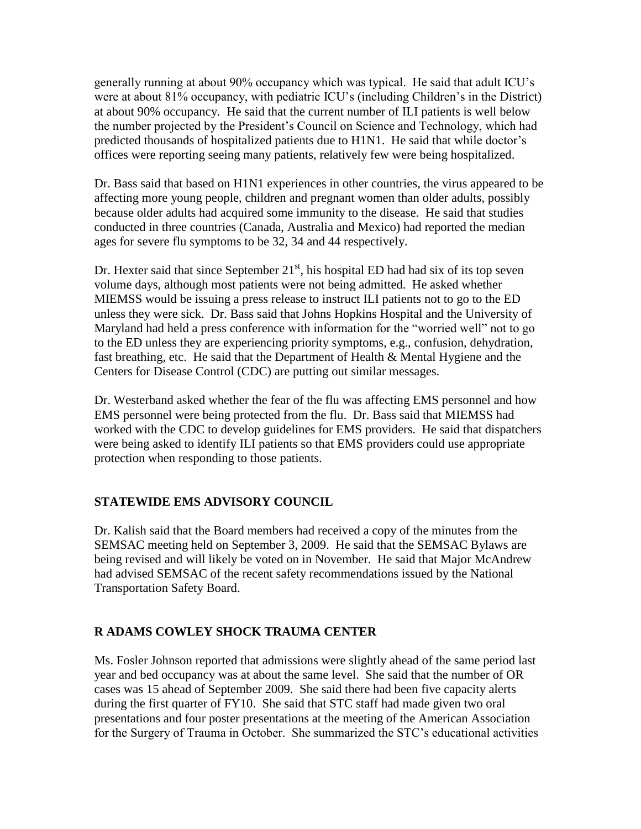generally running at about 90% occupancy which was typical. He said that adult ICU's were at about 81% occupancy, with pediatric ICU's (including Children's in the District) at about 90% occupancy. He said that the current number of ILI patients is well below the number projected by the President's Council on Science and Technology, which had predicted thousands of hospitalized patients due to H1N1. He said that while doctor's offices were reporting seeing many patients, relatively few were being hospitalized.

Dr. Bass said that based on H1N1 experiences in other countries, the virus appeared to be affecting more young people, children and pregnant women than older adults, possibly because older adults had acquired some immunity to the disease. He said that studies conducted in three countries (Canada, Australia and Mexico) had reported the median ages for severe flu symptoms to be 32, 34 and 44 respectively.

Dr. Hexter said that since September 21<sup>st</sup>, his hospital ED had had six of its top seven volume days, although most patients were not being admitted. He asked whether MIEMSS would be issuing a press release to instruct ILI patients not to go to the ED unless they were sick. Dr. Bass said that Johns Hopkins Hospital and the University of Maryland had held a press conference with information for the "worried well" not to go to the ED unless they are experiencing priority symptoms, e.g., confusion, dehydration, fast breathing, etc. He said that the Department of Health & Mental Hygiene and the Centers for Disease Control (CDC) are putting out similar messages.

Dr. Westerband asked whether the fear of the flu was affecting EMS personnel and how EMS personnel were being protected from the flu. Dr. Bass said that MIEMSS had worked with the CDC to develop guidelines for EMS providers. He said that dispatchers were being asked to identify ILI patients so that EMS providers could use appropriate protection when responding to those patients.

## **STATEWIDE EMS ADVISORY COUNCIL**

Dr. Kalish said that the Board members had received a copy of the minutes from the SEMSAC meeting held on September 3, 2009. He said that the SEMSAC Bylaws are being revised and will likely be voted on in November. He said that Major McAndrew had advised SEMSAC of the recent safety recommendations issued by the National Transportation Safety Board.

## **R ADAMS COWLEY SHOCK TRAUMA CENTER**

Ms. Fosler Johnson reported that admissions were slightly ahead of the same period last year and bed occupancy was at about the same level. She said that the number of OR cases was 15 ahead of September 2009. She said there had been five capacity alerts during the first quarter of FY10. She said that STC staff had made given two oral presentations and four poster presentations at the meeting of the American Association for the Surgery of Trauma in October. She summarized the STC's educational activities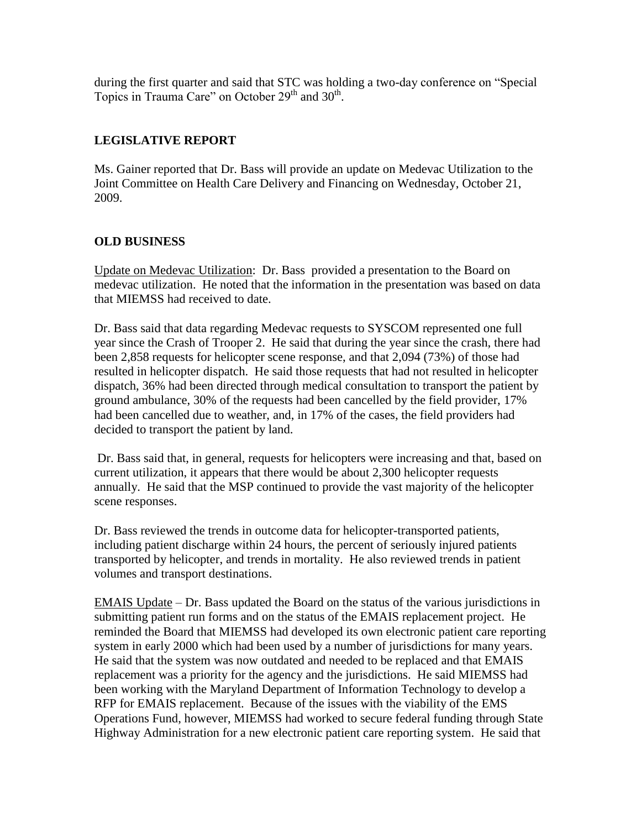during the first quarter and said that STC was holding a two-day conference on "Special Topics in Trauma Care" on October  $29<sup>th</sup>$  and  $30<sup>th</sup>$ .

# **LEGISLATIVE REPORT**

Ms. Gainer reported that Dr. Bass will provide an update on Medevac Utilization to the Joint Committee on Health Care Delivery and Financing on Wednesday, October 21, 2009.

# **OLD BUSINESS**

Update on Medevac Utilization: Dr. Bass provided a presentation to the Board on medevac utilization. He noted that the information in the presentation was based on data that MIEMSS had received to date.

Dr. Bass said that data regarding Medevac requests to SYSCOM represented one full year since the Crash of Trooper 2. He said that during the year since the crash, there had been 2,858 requests for helicopter scene response, and that 2,094 (73%) of those had resulted in helicopter dispatch. He said those requests that had not resulted in helicopter dispatch, 36% had been directed through medical consultation to transport the patient by ground ambulance, 30% of the requests had been cancelled by the field provider, 17% had been cancelled due to weather, and, in 17% of the cases, the field providers had decided to transport the patient by land.

Dr. Bass said that, in general, requests for helicopters were increasing and that, based on current utilization, it appears that there would be about 2,300 helicopter requests annually. He said that the MSP continued to provide the vast majority of the helicopter scene responses.

Dr. Bass reviewed the trends in outcome data for helicopter-transported patients, including patient discharge within 24 hours, the percent of seriously injured patients transported by helicopter, and trends in mortality. He also reviewed trends in patient volumes and transport destinations.

EMAIS Update – Dr. Bass updated the Board on the status of the various jurisdictions in submitting patient run forms and on the status of the EMAIS replacement project. He reminded the Board that MIEMSS had developed its own electronic patient care reporting system in early 2000 which had been used by a number of jurisdictions for many years. He said that the system was now outdated and needed to be replaced and that EMAIS replacement was a priority for the agency and the jurisdictions. He said MIEMSS had been working with the Maryland Department of Information Technology to develop a RFP for EMAIS replacement. Because of the issues with the viability of the EMS Operations Fund, however, MIEMSS had worked to secure federal funding through State Highway Administration for a new electronic patient care reporting system. He said that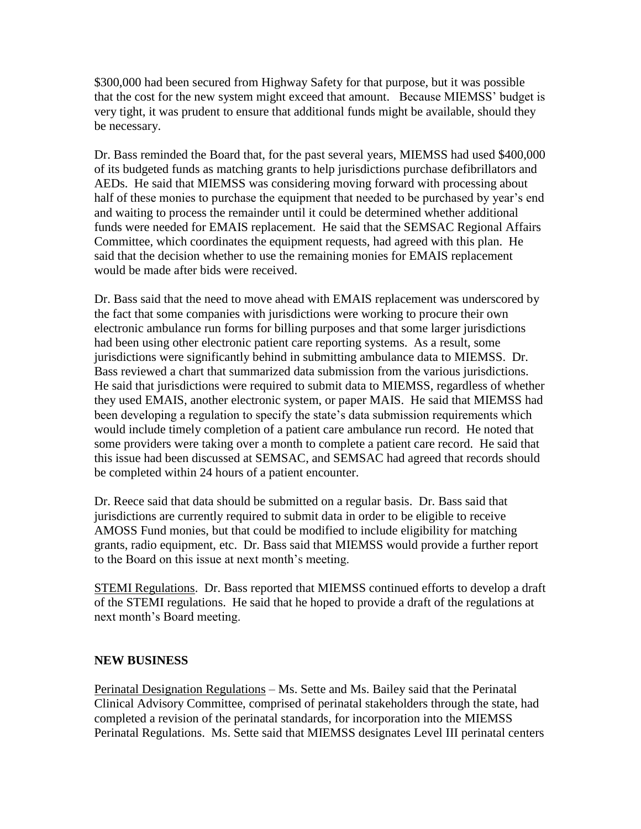\$300,000 had been secured from Highway Safety for that purpose, but it was possible that the cost for the new system might exceed that amount. Because MIEMSS' budget is very tight, it was prudent to ensure that additional funds might be available, should they be necessary.

Dr. Bass reminded the Board that, for the past several years, MIEMSS had used \$400,000 of its budgeted funds as matching grants to help jurisdictions purchase defibrillators and AEDs. He said that MIEMSS was considering moving forward with processing about half of these monies to purchase the equipment that needed to be purchased by year's end and waiting to process the remainder until it could be determined whether additional funds were needed for EMAIS replacement. He said that the SEMSAC Regional Affairs Committee, which coordinates the equipment requests, had agreed with this plan. He said that the decision whether to use the remaining monies for EMAIS replacement would be made after bids were received.

Dr. Bass said that the need to move ahead with EMAIS replacement was underscored by the fact that some companies with jurisdictions were working to procure their own electronic ambulance run forms for billing purposes and that some larger jurisdictions had been using other electronic patient care reporting systems. As a result, some jurisdictions were significantly behind in submitting ambulance data to MIEMSS. Dr. Bass reviewed a chart that summarized data submission from the various jurisdictions. He said that jurisdictions were required to submit data to MIEMSS, regardless of whether they used EMAIS, another electronic system, or paper MAIS. He said that MIEMSS had been developing a regulation to specify the state's data submission requirements which would include timely completion of a patient care ambulance run record. He noted that some providers were taking over a month to complete a patient care record. He said that this issue had been discussed at SEMSAC, and SEMSAC had agreed that records should be completed within 24 hours of a patient encounter.

Dr. Reece said that data should be submitted on a regular basis. Dr. Bass said that jurisdictions are currently required to submit data in order to be eligible to receive AMOSS Fund monies, but that could be modified to include eligibility for matching grants, radio equipment, etc. Dr. Bass said that MIEMSS would provide a further report to the Board on this issue at next month's meeting.

STEMI Regulations. Dr. Bass reported that MIEMSS continued efforts to develop a draft of the STEMI regulations. He said that he hoped to provide a draft of the regulations at next month's Board meeting.

## **NEW BUSINESS**

Perinatal Designation Regulations – Ms. Sette and Ms. Bailey said that the Perinatal Clinical Advisory Committee, comprised of perinatal stakeholders through the state, had completed a revision of the perinatal standards, for incorporation into the MIEMSS Perinatal Regulations. Ms. Sette said that MIEMSS designates Level III perinatal centers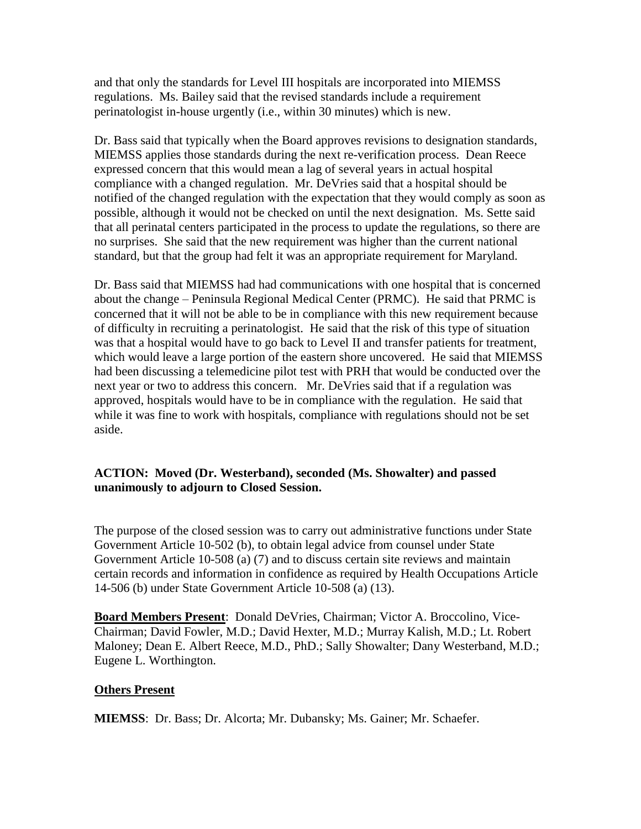and that only the standards for Level III hospitals are incorporated into MIEMSS regulations. Ms. Bailey said that the revised standards include a requirement perinatologist in-house urgently (i.e., within 30 minutes) which is new.

Dr. Bass said that typically when the Board approves revisions to designation standards, MIEMSS applies those standards during the next re-verification process. Dean Reece expressed concern that this would mean a lag of several years in actual hospital compliance with a changed regulation. Mr. DeVries said that a hospital should be notified of the changed regulation with the expectation that they would comply as soon as possible, although it would not be checked on until the next designation. Ms. Sette said that all perinatal centers participated in the process to update the regulations, so there are no surprises. She said that the new requirement was higher than the current national standard, but that the group had felt it was an appropriate requirement for Maryland.

Dr. Bass said that MIEMSS had had communications with one hospital that is concerned about the change – Peninsula Regional Medical Center (PRMC). He said that PRMC is concerned that it will not be able to be in compliance with this new requirement because of difficulty in recruiting a perinatologist. He said that the risk of this type of situation was that a hospital would have to go back to Level II and transfer patients for treatment, which would leave a large portion of the eastern shore uncovered. He said that MIEMSS had been discussing a telemedicine pilot test with PRH that would be conducted over the next year or two to address this concern. Mr. DeVries said that if a regulation was approved, hospitals would have to be in compliance with the regulation. He said that while it was fine to work with hospitals, compliance with regulations should not be set aside.

### **ACTION: Moved (Dr. Westerband), seconded (Ms. Showalter) and passed unanimously to adjourn to Closed Session.**

The purpose of the closed session was to carry out administrative functions under State Government Article 10-502 (b), to obtain legal advice from counsel under State Government Article 10-508 (a) (7) and to discuss certain site reviews and maintain certain records and information in confidence as required by Health Occupations Article 14-506 (b) under State Government Article 10-508 (a) (13).

**Board Members Present**: Donald DeVries, Chairman; Victor A. Broccolino, Vice-Chairman; David Fowler, M.D.; David Hexter, M.D.; Murray Kalish, M.D.; Lt. Robert Maloney; Dean E. Albert Reece, M.D., PhD.; Sally Showalter; Dany Westerband, M.D.; Eugene L. Worthington.

#### **Others Present**

**MIEMSS**: Dr. Bass; Dr. Alcorta; Mr. Dubansky; Ms. Gainer; Mr. Schaefer.